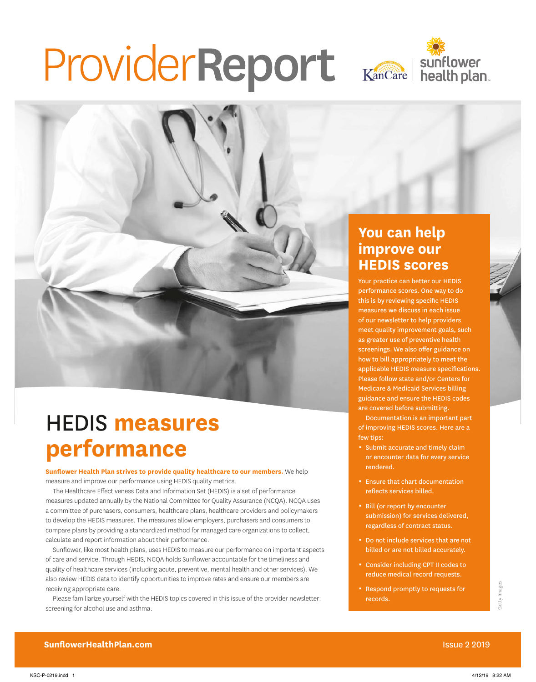# ProviderReport Kancare | Sunflower





### HEDIS **measures performance**

**Sunflower Health Plan strives to provide quality healthcare to our members.** We help measure and improve our performance using HEDIS quality metrics.

The Healthcare Effectiveness Data and Information Set (HEDIS) is a set of performance measures updated annually by the National Committee for Quality Assurance (NCQA). NCQA uses a committee of purchasers, consumers, healthcare plans, healthcare providers and policymakers to develop the HEDIS measures. The measures allow employers, purchasers and consumers to compare plans by providing a standardized method for managed care organizations to collect, calculate and report information about their performance.

Sunflower, like most health plans, uses HEDIS to measure our performance on important aspects of care and service. Through HEDIS, NCQA holds Sunflower accountable for the timeliness and quality of healthcare services (including acute, preventive, mental health and other services). We also review HEDIS data to identify opportunities to improve rates and ensure our members are receiving appropriate care.

Please familiarize yourself with the HEDIS topics covered in this issue of the provider newsletter: screening for alcohol use and asthma.

#### **You can help improve our HEDIS scores**

Your practice can better our HEDIS performance scores. One way to do this is by reviewing specific HEDIS measures we discuss in each issue of our newsletter to help providers meet quality improvement goals, such as greater use of preventive health screenings. We also offer guidance on how to bill appropriately to meet the applicable HEDIS measure specifications. Please follow state and/or Centers for Medicare & Medicaid Services billing guidance and ensure the HEDIS codes are covered before submitting.

Documentation is an important part of improving HEDIS scores. Here are a few tips:

- **Submit accurate and timely claim** or encounter data for every service rendered.
- **Ensure that chart documentation** reflects services billed.
- Bill (or report by encounter submission) for services delivered, regardless of contract status.
- Do not include services that are not billed or are not billed accurately.
- 0 Consider including CPT II codes to reduce medical record requests.
- 0 Respond promptly to requests for records.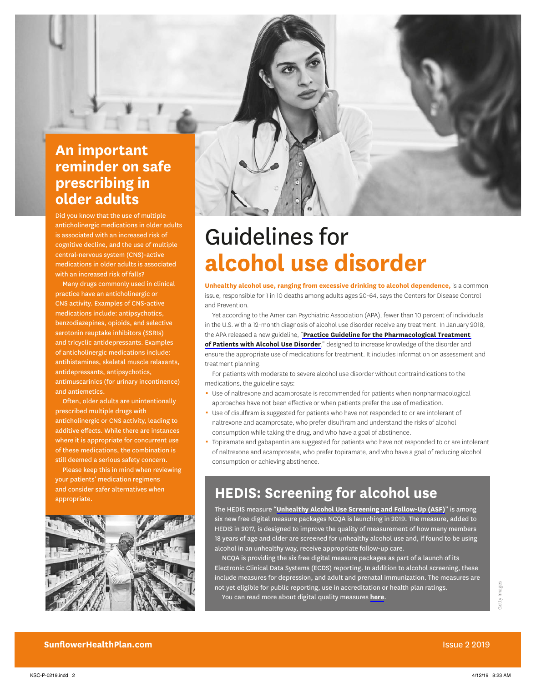

# Guidelines for **alcohol use disorder**

**Unhealthy alcohol use, ranging from excessive drinking to alcohol dependence,** is a common issue, responsible for 1 in 10 deaths among adults ages 20-64, says the Centers for Disease Control and Prevention.

Yet according to the American Psychiatric Association (APA), fewer than 10 percent of individuals in the U.S. with a 12-month diagnosis of alcohol use disorder receive any treatment. In January 2018, the APA released a new guideline, "**[Practice Guideline for the Pharmacological Treatment](https://psychiatryonline.org/doi/book/10.1176/appi.books.9781615371969)  [of Patients with Alcohol Use Disorder](https://psychiatryonline.org/doi/book/10.1176/appi.books.9781615371969)**," designed to increase knowledge of the disorder and ensure the appropriate use of medications for treatment. It includes information on assessment and treatment planning.

For patients with moderate to severe alcohol use disorder without contraindications to the medications, the guideline says:

- 0 Use of naltrexone and acamprosate is recommended for patients when nonpharmacological approaches have not been effective or when patients prefer the use of medication.
- Use of disulfiram is suggested for patients who have not responded to or are intolerant of naltrexone and acamprosate, who prefer disulfiram and understand the risks of alcohol consumption while taking the drug, and who have a goal of abstinence.
- Topiramate and gabapentin are suggested for patients who have not responded to or are intolerant of naltrexone and acamprosate, who prefer topiramate, and who have a goal of reducing alcohol consumption or achieving abstinence.

#### **HEDIS: Screening for alcohol use**

The HEDIS measure "**[Unhealthy Alcohol Use Screening and Follow-Up \(ASF\)](https://www.ncqa.org/hedis/reports-and-research/hedis-measure-unhealthy-alcohol-use-screening-and-follow-up/)**" is among six new free digital measure packages NCQA is launching in 2019. The measure, added to HEDIS in 2017, is designed to improve the quality of measurement of how many members 18 years of age and older are screened for unhealthy alcohol use and, if found to be using alcohol in an unhealthy way, receive appropriate follow-up care.

NCQA is providing the six free digital measure packages as part of a launch of its Electronic Clinical Data Systems (ECDS) reporting. In addition to alcohol screening, these include measures for depression, and adult and prenatal immunization. The measures are not yet eligible for public reporting, use in accreditation or health plan ratings.

You can read more about digital quality measures **[here](https://www.ncqa.org/hedis/the-future-of-hedis/)**.

Did you know that the use of multiple anticholinergic medications in older adults is associated with an increased risk of cognitive decline, and the use of multiple central-nervous system (CNS)-active medications in older adults is associated with an increased risk of falls?

Many drugs commonly used in clinical practice have an anticholinergic or CNS activity. Examples of CNS-active medications include: antipsychotics, benzodiazepines, opioids, and selective serotonin reuptake inhibitors (SSRIs) and tricyclic antidepressants. Examples of anticholinergic medications include: antihistamines, skeletal muscle relaxants, antidepressants, antipsychotics, antimuscarinics (for urinary incontinence) and antiemetics.

Often, older adults are unintentionally prescribed multiple drugs with anticholinergic or CNS activity, leading to additive effects. While there are instances where it is appropriate for concurrent use of these medications, the combination is still deemed a serious safety concern.

Please keep this in mind when reviewing your patients' medication regimens and consider safer alternatives when appropriate.

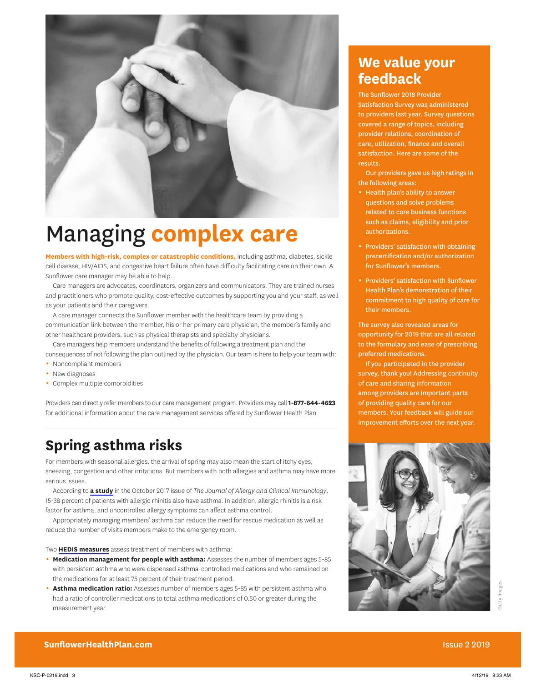

# Managing **complex care**

**Members with high-risk, complex or catastrophic conditions,** including asthma, diabetes, sickle cell disease, HIV/AIDS, and congestive heart failure often have difficulty facilitating care on their own. A Sunflower care manager may be able to help.

Care managers are advocates, coordinators, organizers and communicators. They are trained nurses and practitioners who promote quality, cost-effective outcomes by supporting you and your staff, as well as your patients and their caregivers.

A care manager connects the Sunflower member with the healthcare team by providing a communication link between the member, his or her primary care physician, the member's family and other healthcare providers, such as physical therapists and specialty physicians.

Care managers help members understand the benefits of following a treatment plan and the consequences of not following the plan outlined by the physician. Our team is here to help your team with:

- Noncompliant members
- New diagnoses
- Complex multiple comorbidities

Providers can directly refer members to our care management program. Providers may call **1-877-644-4623** for additional information about the care management services offered by Sunflower Health Plan.

#### **Spring asthma risks**

For members with seasonal allergies, the arrival of spring may also mean the start of itchy eyes, sneezing, congestion and other irritations. But members with both allergies and asthma may have more serious issues.

According to **[a study](https://www.jacionline.org/article/S0091-6749(17)30919-3/fulltext)** in the October 2017 issue of *The Journal of Allergy and Clinical Immunology*, 15-38 percent of patients with allergic rhinitis also have asthma. In addition, allergic rhinitis is a risk factor for asthma, and uncontrolled allergy symptoms can affect asthma control.

Appropriately managing members' asthma can reduce the need for rescue medication as well as reduce the number of visits members make to the emergency room.

Two **[HEDIS measures](https://www.ncqa.org/hedis/measures/medication-management-for-people-with-asthma-and-asthma-medication-ratio/)** assess treatment of members with asthma:

- **Medication management for people with asthma:** Assesses the number of members ages 5-85 with persistent asthma who were dispensed asthma-controlled medications and who remained on the medications for at least 75 percent of their treatment period.
- **Asthma medication ratio:** Assesses number of members ages 5-85 with persistent asthma who had a ratio of controller medications to total asthma medications of 0.50 or greater during the measurement year.

#### **We value your feedback**

The Sunflower 2018 Provider Satisfaction Survey was administered to providers last year. Survey questions covered a range of topics, including provider relations, coordination of care, utilization, finance and overall satisfaction. Here are some of the results.

Our providers gave us high ratings in the following areas:

- **EXEC** Health plan's ability to answer questions and solve problems related to core business functions such as claims, eligibility and prior authorizations.
- **Providers' satisfaction with obtaining** precertification and/or authorization for Sunflower's members.
- 0 Providers' satisfaction with Sunflower Health Plan's demonstration of their commitment to high quality of care for their members.

The survey also revealed areas for opportunity for 2019 that are all related to the formulary and ease of prescribing preferred medications.

If you participated in the provider survey, thank you! Addressing continuity of care and sharing information among providers are important parts of providing quality care for our members. Your feedback will guide our improvement efforts over the next year.



**SunflowerHealthPlan.com Issue 2 2019**